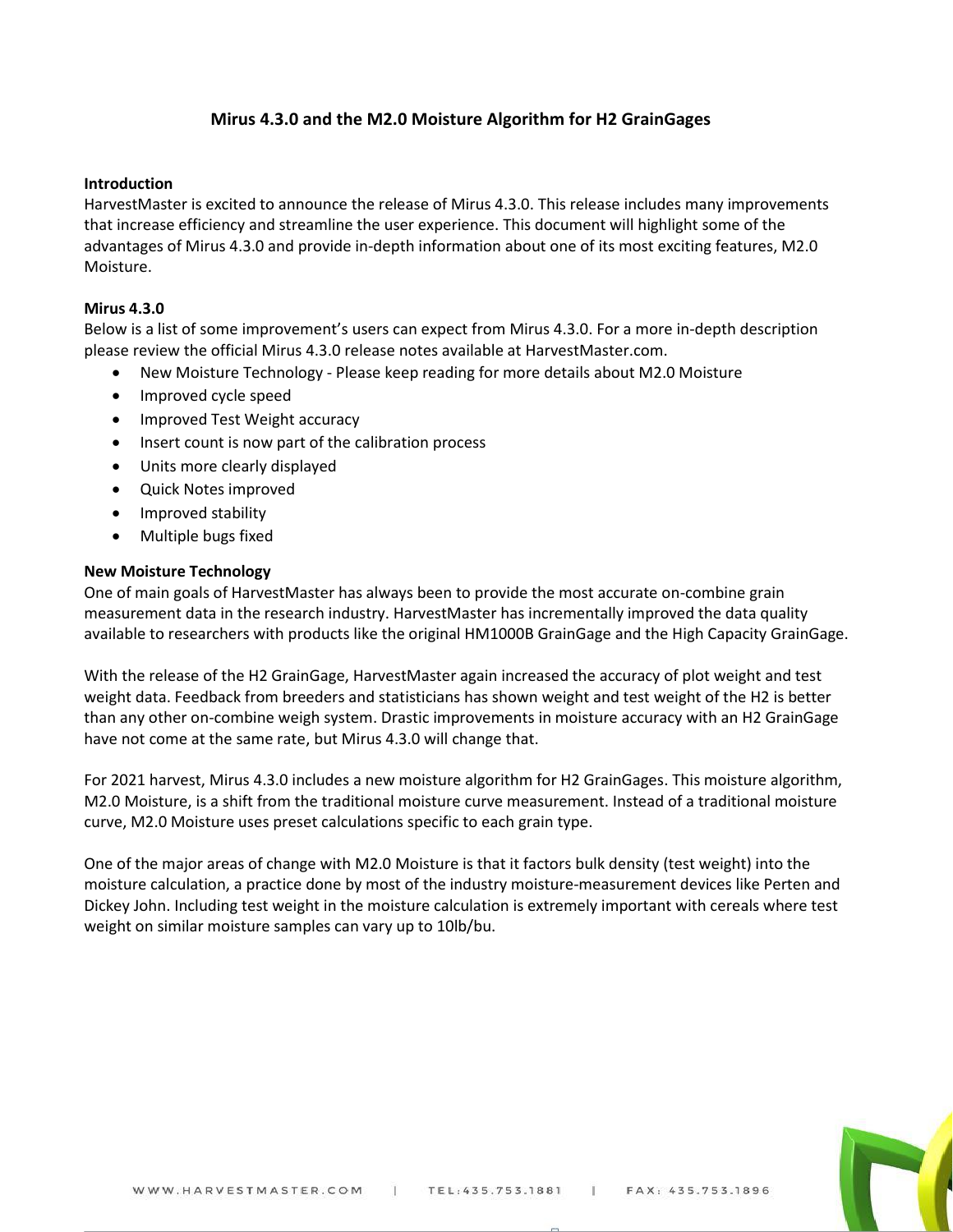# **Mirus 4.3.0 and the M2.0 Moisture Algorithm for H2 GrainGages**

# **Introduction**

HarvestMaster is excited to announce the release of Mirus 4.3.0. This release includes many improvements that increase efficiency and streamline the user experience. This document will highlight some of the advantages of Mirus 4.3.0 and provide in-depth information about one of its most exciting features, M2.0 Moisture.

### **Mirus 4.3.0**

Below is a list of some improvement's users can expect from Mirus 4.3.0. For a more in-depth description please review the official Mirus 4.3.0 release notes available at HarvestMaster.com.

- New Moisture Technology Please keep reading for more details about M2.0 Moisture
- Improved cycle speed
- Improved Test Weight accuracy
- Insert count is now part of the calibration process
- Units more clearly displayed
- Quick Notes improved
- Improved stability
- Multiple bugs fixed

### **New Moisture Technology**

One of main goals of HarvestMaster has always been to provide the most accurate on-combine grain measurement data in the research industry. HarvestMaster has incrementally improved the data quality available to researchers with products like the original HM1000B GrainGage and the High Capacity GrainGage.

With the release of the H2 GrainGage, HarvestMaster again increased the accuracy of plot weight and test weight data. Feedback from breeders and statisticians has shown weight and test weight of the H2 is better than any other on-combine weigh system. Drastic improvements in moisture accuracy with an H2 GrainGage have not come at the same rate, but Mirus 4.3.0 will change that.

For 2021 harvest, Mirus 4.3.0 includes a new moisture algorithm for H2 GrainGages. This moisture algorithm, M2.0 Moisture, is a shift from the traditional moisture curve measurement. Instead of a traditional moisture curve, M2.0 Moisture uses preset calculations specific to each grain type.

One of the major areas of change with M2.0 Moisture is that it factors bulk density (test weight) into the moisture calculation, a practice done by most of the industry moisture-measurement devices like Perten and Dickey John. Including test weight in the moisture calculation is extremely important with cereals where test weight on similar moisture samples can vary up to 10lb/bu.

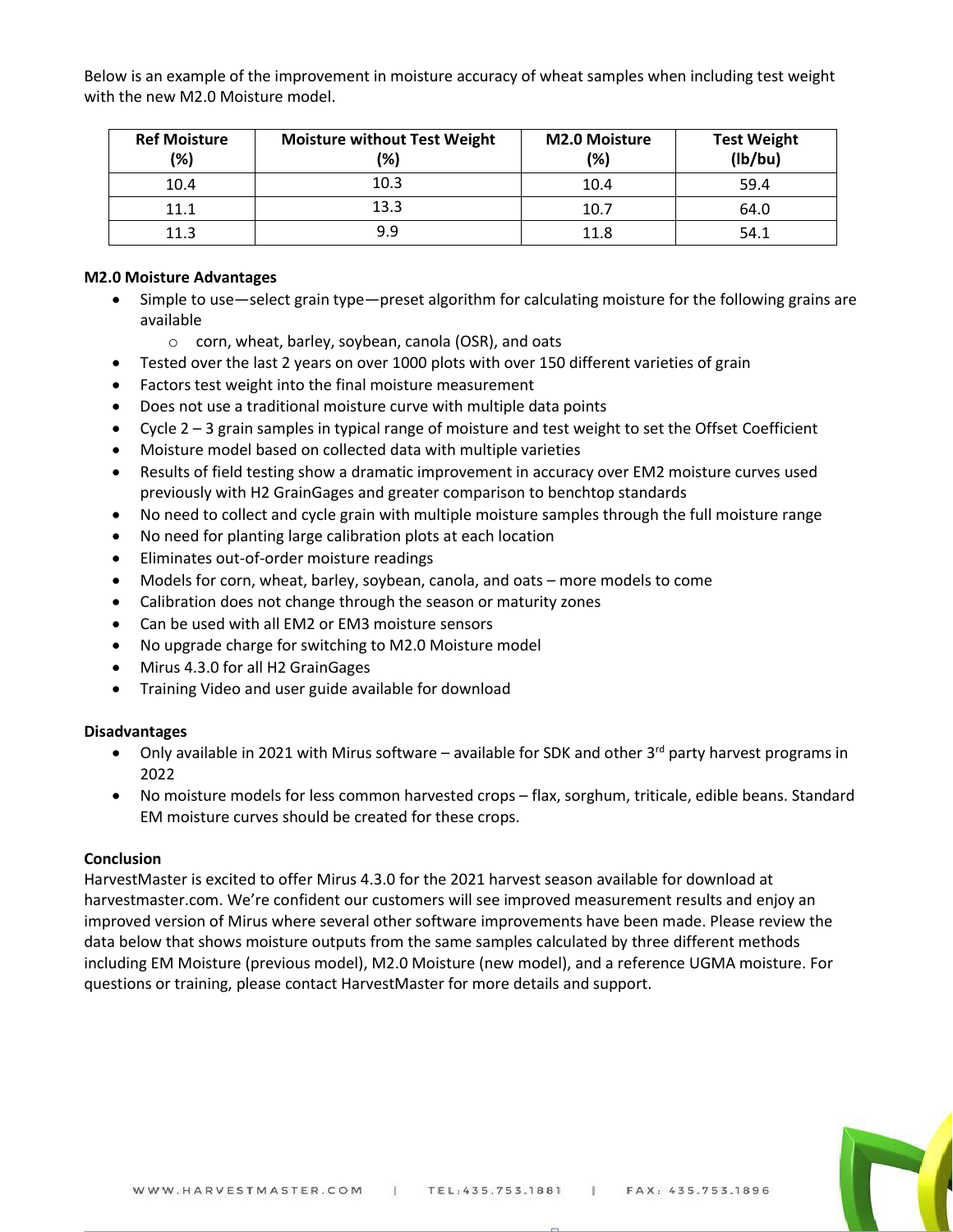Below is an example of the improvement in moisture accuracy of wheat samples when including test weight with the new M2.0 Moisture model.

| <b>Ref Moisture</b><br>(%) | <b>Moisture without Test Weight</b><br>(%) | <b>M2.0 Moisture</b><br>(%) | <b>Test Weight</b><br>(lb/bu) |
|----------------------------|--------------------------------------------|-----------------------------|-------------------------------|
| 10.4                       | 10.3                                       | 10.4                        | 59.4                          |
| 11.1                       | 13.3                                       | 10.7                        | 64.0                          |
| 11.3                       | 9.9                                        | 11.8                        | 54.1                          |

### **M2.0 Moisture Advantages**

- Simple to use—select grain type—preset algorithm for calculating moisture for the following grains are available
	- o corn, wheat, barley, soybean, canola (OSR), and oats
- Tested over the last 2 years on over 1000 plots with over 150 different varieties of grain
- Factors test weight into the final moisture measurement
- Does not use a traditional moisture curve with multiple data points
- Cycle 2 3 grain samples in typical range of moisture and test weight to set the Offset Coefficient
- Moisture model based on collected data with multiple varieties
- Results of field testing show a dramatic improvement in accuracy over EM2 moisture curves used previously with H2 GrainGages and greater comparison to benchtop standards
- No need to collect and cycle grain with multiple moisture samples through the full moisture range
- No need for planting large calibration plots at each location
- Eliminates out-of-order moisture readings
- Models for corn, wheat, barley, soybean, canola, and oats more models to come
- Calibration does not change through the season or maturity zones
- Can be used with all EM2 or EM3 moisture sensors
- No upgrade charge for switching to M2.0 Moisture model
- Mirus 4.3.0 for all H2 GrainGages
- Training Video and user guide available for download

# **Disadvantages**

- Only available in 2021 with Mirus software available for SDK and other 3<sup>rd</sup> party harvest programs in 2022
- No moisture models for less common harvested crops flax, sorghum, triticale, edible beans. Standard EM moisture curves should be created for these crops.

# **Conclusion**

HarvestMaster is excited to offer Mirus 4.3.0 for the 2021 harvest season available for download at harvestmaster.com. We're confident our customers will see improved measurement results and enjoy an improved version of Mirus where several other software improvements have been made. Please review the data below that shows moisture outputs from the same samples calculated by three different methods including EM Moisture (previous model), M2.0 Moisture (new model), and a reference UGMA moisture. For questions or training, please contact HarvestMaster for more details and support.